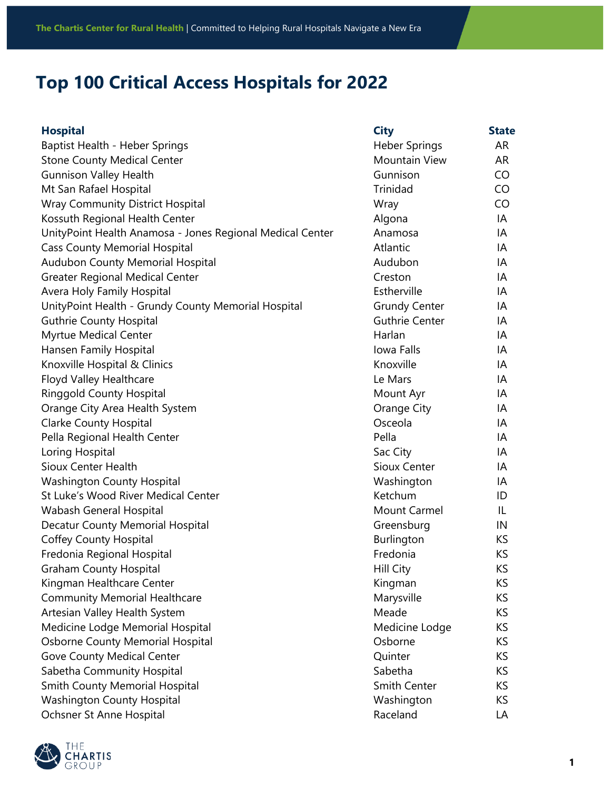## **Top 100 Critical Access Hospitals for 2022**

| <b>Hospital</b>                                           | <b>City</b>           | <b>State</b> |
|-----------------------------------------------------------|-----------------------|--------------|
| Baptist Health - Heber Springs                            | <b>Heber Springs</b>  | AR           |
| <b>Stone County Medical Center</b>                        | <b>Mountain View</b>  | AR           |
| <b>Gunnison Valley Health</b>                             | Gunnison              | CO           |
| Mt San Rafael Hospital                                    | Trinidad              | CO           |
| <b>Wray Community District Hospital</b>                   | Wray                  | CO           |
| Kossuth Regional Health Center                            | Algona                | IA           |
| UnityPoint Health Anamosa - Jones Regional Medical Center | Anamosa               | IA           |
| <b>Cass County Memorial Hospital</b>                      | Atlantic              | IA           |
| Audubon County Memorial Hospital                          | Audubon               | IA           |
| <b>Greater Regional Medical Center</b>                    | Creston               | IA           |
| Avera Holy Family Hospital                                | Estherville           | IA           |
| UnityPoint Health - Grundy County Memorial Hospital       | <b>Grundy Center</b>  | IA           |
| <b>Guthrie County Hospital</b>                            | <b>Guthrie Center</b> | IA           |
| Myrtue Medical Center                                     | Harlan                | IA           |
| Hansen Family Hospital                                    | Iowa Falls            | IA           |
| Knoxville Hospital & Clinics                              | Knoxville             | IA           |
| Floyd Valley Healthcare                                   | Le Mars               | IA           |
| <b>Ringgold County Hospital</b>                           | Mount Ayr             | IA           |
| Orange City Area Health System                            | Orange City           | IA           |
| <b>Clarke County Hospital</b>                             | Osceola               | IA           |
| Pella Regional Health Center                              | Pella                 | IA           |
| Loring Hospital                                           | Sac City              | IA           |
| <b>Sioux Center Health</b>                                | <b>Sioux Center</b>   | IA           |
| <b>Washington County Hospital</b>                         | Washington            | IA           |
| St Luke's Wood River Medical Center                       | Ketchum               | ID           |
| Wabash General Hospital                                   | <b>Mount Carmel</b>   | IL           |
| Decatur County Memorial Hospital                          | Greensburg            | IN           |
| <b>Coffey County Hospital</b>                             | Burlington            | KS           |
| Fredonia Regional Hospital                                | Fredonia              | KS           |
| <b>Graham County Hospital</b>                             | Hill City             | ΚS           |
| Kingman Healthcare Center                                 | Kingman               | KS.          |
| <b>Community Memorial Healthcare</b>                      | Marysville            | KS.          |
| Artesian Valley Health System                             | Meade                 | KS.          |
| Medicine Lodge Memorial Hospital                          | Medicine Lodge        | KS.          |
| <b>Osborne County Memorial Hospital</b>                   | Osborne               | KS           |
| <b>Gove County Medical Center</b>                         | Quinter               | KS           |
| Sabetha Community Hospital                                | Sabetha               | KS           |
| <b>Smith County Memorial Hospital</b>                     | Smith Center          | KS.          |
| <b>Washington County Hospital</b>                         | Washington            | KS.          |
| Ochsner St Anne Hospital                                  | Raceland              | LA           |

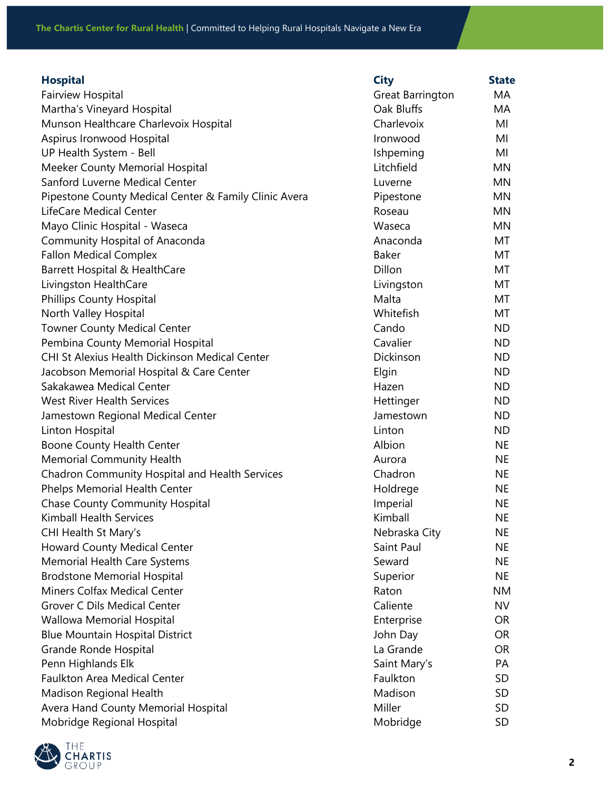| <b>Hospital</b>                                       | <b>City</b>      | <b>State</b> |
|-------------------------------------------------------|------------------|--------------|
| Fairview Hospital                                     | Great Barrington | МA           |
| Martha's Vineyard Hospital                            | Oak Bluffs       | MA           |
| Munson Healthcare Charlevoix Hospital                 | Charlevoix       | MI           |
| Aspirus Ironwood Hospital                             | Ironwood         | MI           |
| UP Health System - Bell                               | Ishpeming        | MI           |
| <b>Meeker County Memorial Hospital</b>                | Litchfield       | MN           |
| Sanford Luverne Medical Center                        | Luverne          | <b>MN</b>    |
| Pipestone County Medical Center & Family Clinic Avera | Pipestone        | MN           |
| LifeCare Medical Center                               | Roseau           | <b>MN</b>    |
| Mayo Clinic Hospital - Waseca                         | Waseca           | MN           |
| Community Hospital of Anaconda                        | Anaconda         | MT           |
| <b>Fallon Medical Complex</b>                         | <b>Baker</b>     | MT           |
| Barrett Hospital & HealthCare                         | Dillon           | МT           |
| Livingston HealthCare                                 | Livingston       | MT           |
| <b>Phillips County Hospital</b>                       | Malta            | МT           |
| North Valley Hospital                                 | Whitefish        | MT           |
| <b>Towner County Medical Center</b>                   | Cando            | <b>ND</b>    |
| Pembina County Memorial Hospital                      | Cavalier         | <b>ND</b>    |
| <b>CHI St Alexius Health Dickinson Medical Center</b> | Dickinson        | <b>ND</b>    |
| Jacobson Memorial Hospital & Care Center              | Elgin            | <b>ND</b>    |
| Sakakawea Medical Center                              | Hazen            | <b>ND</b>    |
| <b>West River Health Services</b>                     | Hettinger        | <b>ND</b>    |
| Jamestown Regional Medical Center                     | Jamestown        | <b>ND</b>    |
| Linton Hospital                                       | Linton           | <b>ND</b>    |
| Boone County Health Center                            | Albion           | <b>NE</b>    |
| <b>Memorial Community Health</b>                      | Aurora           | <b>NE</b>    |
| Chadron Community Hospital and Health Services        | Chadron          | <b>NE</b>    |
| Phelps Memorial Health Center                         | Holdrege         | <b>NE</b>    |
| <b>Chase County Community Hospital</b>                | Imperial         | <b>NE</b>    |
| <b>Kimball Health Services</b>                        | Kimball          | <b>NE</b>    |
| CHI Health St Mary's                                  | Nebraska City    | <b>NE</b>    |
| <b>Howard County Medical Center</b>                   | Saint Paul       | <b>NE</b>    |
| <b>Memorial Health Care Systems</b>                   | Seward           | <b>NE</b>    |
| <b>Brodstone Memorial Hospital</b>                    | Superior         | <b>NE</b>    |
| <b>Miners Colfax Medical Center</b>                   | Raton            | <b>NM</b>    |
| <b>Grover C Dils Medical Center</b>                   | Caliente         | <b>NV</b>    |
| Wallowa Memorial Hospital                             | Enterprise       | <b>OR</b>    |
| <b>Blue Mountain Hospital District</b>                | John Day         | <b>OR</b>    |
| Grande Ronde Hospital                                 | La Grande        | <b>OR</b>    |
| Penn Highlands Elk                                    | Saint Mary's     | PA           |
| <b>Faulkton Area Medical Center</b>                   | Faulkton         | <b>SD</b>    |
| Madison Regional Health                               | Madison          | <b>SD</b>    |
| Avera Hand County Memorial Hospital                   | Miller           | SD           |
| Mobridge Regional Hospital                            | Mobridge         | <b>SD</b>    |